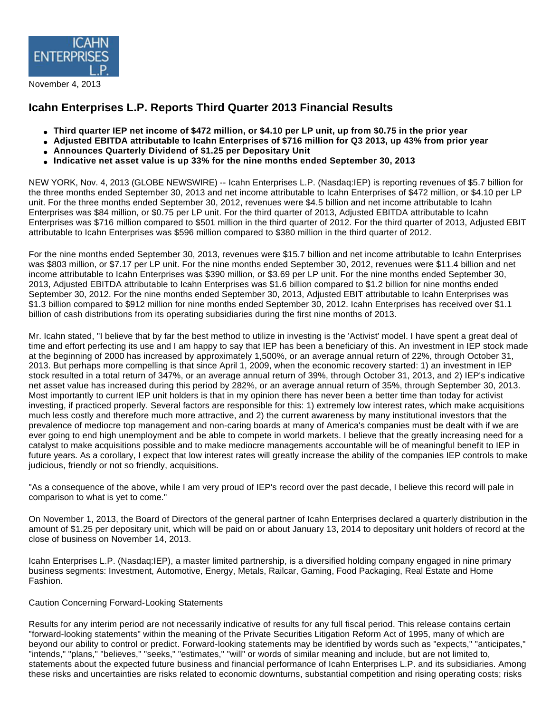

November 4, 2013

# **Icahn Enterprises L.P. Reports Third Quarter 2013 Financial Results**

- **Third quarter IEP net income of \$472 million, or \$4.10 per LP unit, up from \$0.75 in the prior year**
- **Adjusted EBITDA attributable to Icahn Enterprises of \$716 million for Q3 2013, up 43% from prior year**
- **Announces Quarterly Dividend of \$1.25 per Depositary Unit**
- **Indicative net asset value is up 33% for the nine months ended September 30, 2013**

NEW YORK, Nov. 4, 2013 (GLOBE NEWSWIRE) -- Icahn Enterprises L.P. (Nasdaq:IEP) is reporting revenues of \$5.7 billion for the three months ended September 30, 2013 and net income attributable to Icahn Enterprises of \$472 million, or \$4.10 per LP unit. For the three months ended September 30, 2012, revenues were \$4.5 billion and net income attributable to Icahn Enterprises was \$84 million, or \$0.75 per LP unit. For the third quarter of 2013, Adjusted EBITDA attributable to Icahn Enterprises was \$716 million compared to \$501 million in the third quarter of 2012. For the third quarter of 2013, Adjusted EBIT attributable to Icahn Enterprises was \$596 million compared to \$380 million in the third quarter of 2012.

For the nine months ended September 30, 2013, revenues were \$15.7 billion and net income attributable to Icahn Enterprises was \$803 million, or \$7.17 per LP unit. For the nine months ended September 30, 2012, revenues were \$11.4 billion and net income attributable to Icahn Enterprises was \$390 million, or \$3.69 per LP unit. For the nine months ended September 30, 2013, Adjusted EBITDA attributable to Icahn Enterprises was \$1.6 billion compared to \$1.2 billion for nine months ended September 30, 2012. For the nine months ended September 30, 2013, Adjusted EBIT attributable to Icahn Enterprises was \$1.3 billion compared to \$912 million for nine months ended September 30, 2012. Icahn Enterprises has received over \$1.1 billion of cash distributions from its operating subsidiaries during the first nine months of 2013.

Mr. Icahn stated, "I believe that by far the best method to utilize in investing is the 'Activist' model. I have spent a great deal of time and effort perfecting its use and I am happy to say that IEP has been a beneficiary of this. An investment in IEP stock made at the beginning of 2000 has increased by approximately 1,500%, or an average annual return of 22%, through October 31, 2013. But perhaps more compelling is that since April 1, 2009, when the economic recovery started: 1) an investment in IEP stock resulted in a total return of 347%, or an average annual return of 39%, through October 31, 2013, and 2) IEP's indicative net asset value has increased during this period by 282%, or an average annual return of 35%, through September 30, 2013. Most importantly to current IEP unit holders is that in my opinion there has never been a better time than today for activist investing, if practiced properly. Several factors are responsible for this: 1) extremely low interest rates, which make acquisitions much less costly and therefore much more attractive, and 2) the current awareness by many institutional investors that the prevalence of mediocre top management and non-caring boards at many of America's companies must be dealt with if we are ever going to end high unemployment and be able to compete in world markets. I believe that the greatly increasing need for a catalyst to make acquisitions possible and to make mediocre managements accountable will be of meaningful benefit to IEP in future years. As a corollary, I expect that low interest rates will greatly increase the ability of the companies IEP controls to make judicious, friendly or not so friendly, acquisitions.

"As a consequence of the above, while I am very proud of IEP's record over the past decade, I believe this record will pale in comparison to what is yet to come."

On November 1, 2013, the Board of Directors of the general partner of Icahn Enterprises declared a quarterly distribution in the amount of \$1.25 per depositary unit, which will be paid on or about January 13, 2014 to depositary unit holders of record at the close of business on November 14, 2013.

Icahn Enterprises L.P. (Nasdaq:IEP), a master limited partnership, is a diversified holding company engaged in nine primary business segments: Investment, Automotive, Energy, Metals, Railcar, Gaming, Food Packaging, Real Estate and Home Fashion.

## Caution Concerning Forward-Looking Statements

Results for any interim period are not necessarily indicative of results for any full fiscal period. This release contains certain "forward-looking statements" within the meaning of the Private Securities Litigation Reform Act of 1995, many of which are beyond our ability to control or predict. Forward-looking statements may be identified by words such as "expects," "anticipates," "intends," "plans," "believes," "seeks," "estimates," "will" or words of similar meaning and include, but are not limited to, statements about the expected future business and financial performance of Icahn Enterprises L.P. and its subsidiaries. Among these risks and uncertainties are risks related to economic downturns, substantial competition and rising operating costs; risks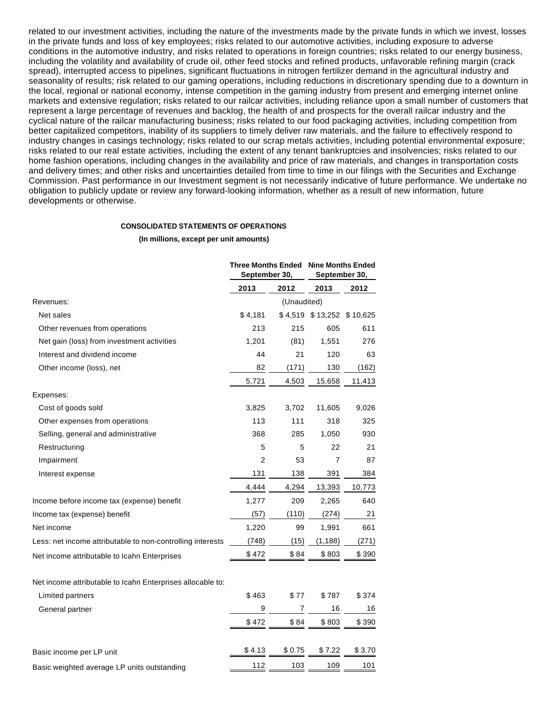related to our investment activities, including the nature of the investments made by the private funds in which we invest, losses in the private funds and loss of key employees; risks related to our automotive activities, including exposure to adverse conditions in the automotive industry, and risks related to operations in foreign countries; risks related to our energy business, including the volatility and availability of crude oil, other feed stocks and refined products, unfavorable refining margin (crack spread), interrupted access to pipelines, significant fluctuations in nitrogen fertilizer demand in the agricultural industry and seasonality of results; risk related to our gaming operations, including reductions in discretionary spending due to a downturn in the local, regional or national economy, intense competition in the gaming industry from present and emerging internet online markets and extensive regulation; risks related to our railcar activities, including reliance upon a small number of customers that represent a large percentage of revenues and backlog, the health of and prospects for the overall railcar industry and the cyclical nature of the railcar manufacturing business; risks related to our food packaging activities, including competition from better capitalized competitors, inability of its suppliers to timely deliver raw materials, and the failure to effectively respond to industry changes in casings technology; risks related to our scrap metals activities, including potential environmental exposure; risks related to our real estate activities, including the extent of any tenant bankruptcies and insolvencies; risks related to our home fashion operations, including changes in the availability and price of raw materials, and changes in transportation costs and delivery times; and other risks and uncertainties detailed from time to time in our filings with the Securities and Exchange Commission. Past performance in our Investment segment is not necessarily indicative of future performance. We undertake no obligation to publicly update or review any forward-looking information, whether as a result of new information, future developments or otherwise.

### **CONSOLIDATED STATEMENTS OF OPERATIONS**

#### **(In millions, except per unit amounts)**

|                                                            | <b>Three Months Ended</b><br>September 30, |             | <b>Nine Months Ended</b><br>September 30, |          |
|------------------------------------------------------------|--------------------------------------------|-------------|-------------------------------------------|----------|
|                                                            | 2013                                       | 2012        | 2013                                      | 2012     |
| Revenues:                                                  |                                            | (Unaudited) |                                           |          |
| Net sales                                                  | \$4,181                                    |             | \$4,519 \$13,252                          | \$10,625 |
| Other revenues from operations                             | 213                                        | 215         | 605                                       | 611      |
| Net gain (loss) from investment activities                 | 1,201                                      | (81)        | 1,551                                     | 276      |
| Interest and dividend income                               | 44                                         | 21          | 120                                       | 63       |
| Other income (loss), net                                   | 82                                         | (171)       | 130                                       | (162)    |
|                                                            | 5,721                                      | 4,503       | 15,658                                    | 11,413   |
| Expenses:                                                  |                                            |             |                                           |          |
| Cost of goods sold                                         | 3,825                                      | 3,702       | 11,605                                    | 9,026    |
| Other expenses from operations                             | 113                                        | 111         | 318                                       | 325      |
| Selling, general and administrative                        | 368                                        | 285         | 1,050                                     | 930      |
| Restructuring                                              | 5                                          | 5           | 22                                        | 21       |
| Impairment                                                 | $\overline{2}$                             | 53          | 7                                         | 87       |
| Interest expense                                           | 131                                        | 138         | 391                                       | 384      |
|                                                            | 4,444                                      | 4,294       | 13,393                                    | 10,773   |
| Income before income tax (expense) benefit                 | 1,277                                      | 209         | 2,265                                     | 640      |
| Income tax (expense) benefit                               | (57)                                       | (110)       | (274)                                     | 21       |
| Net income                                                 | 1,220                                      | 99          | 1,991                                     | 661      |
| Less: net income attributable to non-controlling interests | (748)                                      | (15)        | (1, 188)                                  | (271)    |
| Net income attributable to Icahn Enterprises               | \$472                                      | \$84        | \$803                                     | \$390    |
| Net income attributable to Icahn Enterprises allocable to: |                                            |             |                                           |          |
| Limited partners                                           | \$463                                      | \$77        | \$787                                     | \$374    |
| General partner                                            | 9                                          | 7           | 16                                        | 16       |
|                                                            | \$472                                      | \$84        | \$803                                     | \$390    |
|                                                            |                                            |             |                                           |          |
| Basic income per LP unit                                   | \$4.13                                     | \$0.75      | \$7.22                                    | \$3.70   |
| Basic weighted average LP units outstanding                | 112                                        | 103         | 109                                       | 101      |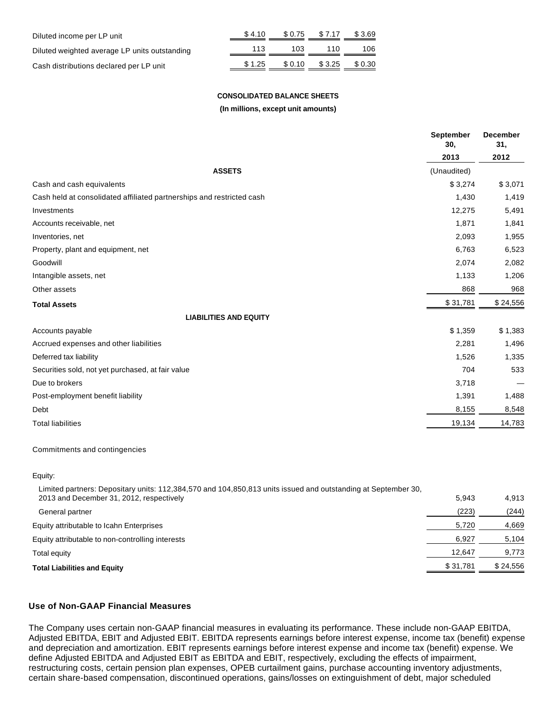| Diluted income per LP unit                    | \$4.10 |     | $$0.75$ $$7.17$ | \$3.69  |
|-----------------------------------------------|--------|-----|-----------------|---------|
| Diluted weighted average LP units outstanding | 113    | 103 | 110             | 106.    |
| Cash distributions declared per LP unit       | \$1.25 |     | $$0.10$ $$3.25$ | \$ 0.30 |

## **CONSOLIDATED BALANCE SHEETS**

**(In millions, except unit amounts)**

|                                                                       | <b>September</b><br>30. | <b>December</b><br>31. |
|-----------------------------------------------------------------------|-------------------------|------------------------|
|                                                                       | 2013                    | 2012                   |
| <b>ASSETS</b>                                                         | (Unaudited)             |                        |
| Cash and cash equivalents                                             | \$3,274                 | \$3,071                |
| Cash held at consolidated affiliated partnerships and restricted cash | 1,430                   | 1,419                  |
| Investments                                                           | 12,275                  | 5,491                  |
| Accounts receivable, net                                              | 1,871                   | 1,841                  |
| Inventories, net                                                      | 2,093                   | 1,955                  |
| Property, plant and equipment, net                                    | 6,763                   | 6,523                  |
| Goodwill                                                              | 2,074                   | 2,082                  |
| Intangible assets, net                                                | 1,133                   | 1,206                  |
| Other assets                                                          | 868                     | 968                    |
| <b>Total Assets</b>                                                   | \$31,781                | \$24,556               |
| <b>LIABILITIES AND EQUITY</b>                                         |                         |                        |
| Accounts payable                                                      | \$1,359                 | \$1,383                |
| Accrued expenses and other liabilities                                | 2,281                   | 1,496                  |
| Deferred tax liability                                                | 1,526                   | 1,335                  |
| Securities sold, not yet purchased, at fair value                     | 704                     | 533                    |
| Due to brokers                                                        | 3,718                   |                        |
| Post-employment benefit liability                                     | 1,391                   | 1,488                  |
| Debt                                                                  | 8,155                   | 8,548                  |
| <b>Total liabilities</b>                                              | 19,134                  | 14,783                 |
|                                                                       |                         |                        |

Commitments and contingencies

Equity:

Limited partners: Depositary units: 112,384,570 and 104,850,813 units issued and outstanding at September 30, 2013 and December 31, 2012, respectively 5,943 4,913

| 2013 and December 31, 2012, respectively         | ບ.ອ≒ບ    | טו כו+   |
|--------------------------------------------------|----------|----------|
| General partner                                  | (223)    | (244)    |
| Equity attributable to Icahn Enterprises         | 5.720    | 4,669    |
| Equity attributable to non-controlling interests | 6.927    | 5,104    |
| Total equity                                     | 12.647   | 9.773    |
| <b>Total Liabilities and Equity</b>              | \$31,781 | \$24,556 |

## **Use of Non-GAAP Financial Measures**

The Company uses certain non-GAAP financial measures in evaluating its performance. These include non-GAAP EBITDA, Adjusted EBITDA, EBIT and Adjusted EBIT. EBITDA represents earnings before interest expense, income tax (benefit) expense and depreciation and amortization. EBIT represents earnings before interest expense and income tax (benefit) expense. We define Adjusted EBITDA and Adjusted EBIT as EBITDA and EBIT, respectively, excluding the effects of impairment, restructuring costs, certain pension plan expenses, OPEB curtailment gains, purchase accounting inventory adjustments, certain share-based compensation, discontinued operations, gains/losses on extinguishment of debt, major scheduled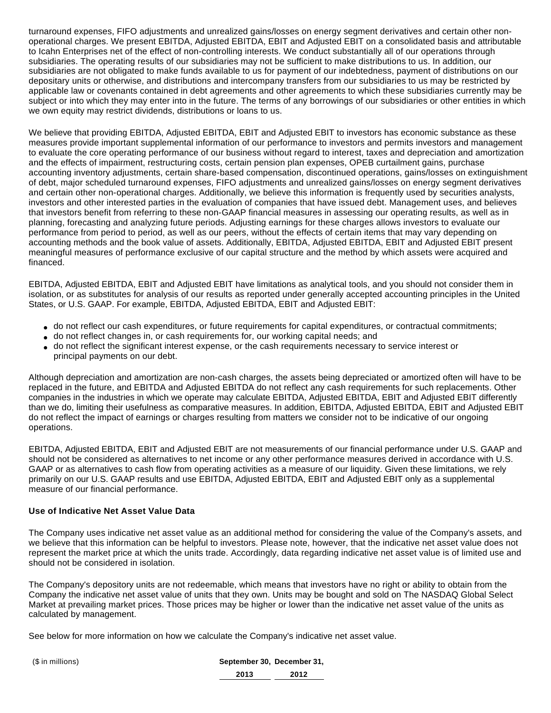turnaround expenses, FIFO adjustments and unrealized gains/losses on energy segment derivatives and certain other nonoperational charges. We present EBITDA, Adjusted EBITDA, EBIT and Adjusted EBIT on a consolidated basis and attributable to Icahn Enterprises net of the effect of non-controlling interests. We conduct substantially all of our operations through subsidiaries. The operating results of our subsidiaries may not be sufficient to make distributions to us. In addition, our subsidiaries are not obligated to make funds available to us for payment of our indebtedness, payment of distributions on our depositary units or otherwise, and distributions and intercompany transfers from our subsidiaries to us may be restricted by applicable law or covenants contained in debt agreements and other agreements to which these subsidiaries currently may be subject or into which they may enter into in the future. The terms of any borrowings of our subsidiaries or other entities in which we own equity may restrict dividends, distributions or loans to us.

We believe that providing EBITDA, Adjusted EBITDA, EBIT and Adjusted EBIT to investors has economic substance as these measures provide important supplemental information of our performance to investors and permits investors and management to evaluate the core operating performance of our business without regard to interest, taxes and depreciation and amortization and the effects of impairment, restructuring costs, certain pension plan expenses, OPEB curtailment gains, purchase accounting inventory adjustments, certain share-based compensation, discontinued operations, gains/losses on extinguishment of debt, major scheduled turnaround expenses, FIFO adjustments and unrealized gains/losses on energy segment derivatives and certain other non-operational charges. Additionally, we believe this information is frequently used by securities analysts, investors and other interested parties in the evaluation of companies that have issued debt. Management uses, and believes that investors benefit from referring to these non-GAAP financial measures in assessing our operating results, as well as in planning, forecasting and analyzing future periods. Adjusting earnings for these charges allows investors to evaluate our performance from period to period, as well as our peers, without the effects of certain items that may vary depending on accounting methods and the book value of assets. Additionally, EBITDA, Adjusted EBITDA, EBIT and Adjusted EBIT present meaningful measures of performance exclusive of our capital structure and the method by which assets were acquired and financed.

EBITDA, Adjusted EBITDA, EBIT and Adjusted EBIT have limitations as analytical tools, and you should not consider them in isolation, or as substitutes for analysis of our results as reported under generally accepted accounting principles in the United States, or U.S. GAAP. For example, EBITDA, Adjusted EBITDA, EBIT and Adjusted EBIT:

- do not reflect our cash expenditures, or future requirements for capital expenditures, or contractual commitments;
- do not reflect changes in, or cash requirements for, our working capital needs; and
- do not reflect the significant interest expense, or the cash requirements necessary to service interest or principal payments on our debt.

Although depreciation and amortization are non-cash charges, the assets being depreciated or amortized often will have to be replaced in the future, and EBITDA and Adjusted EBITDA do not reflect any cash requirements for such replacements. Other companies in the industries in which we operate may calculate EBITDA, Adjusted EBITDA, EBIT and Adjusted EBIT differently than we do, limiting their usefulness as comparative measures. In addition, EBITDA, Adjusted EBITDA, EBIT and Adjusted EBIT do not reflect the impact of earnings or charges resulting from matters we consider not to be indicative of our ongoing operations.

EBITDA, Adjusted EBITDA, EBIT and Adjusted EBIT are not measurements of our financial performance under U.S. GAAP and should not be considered as alternatives to net income or any other performance measures derived in accordance with U.S. GAAP or as alternatives to cash flow from operating activities as a measure of our liquidity. Given these limitations, we rely primarily on our U.S. GAAP results and use EBITDA, Adjusted EBITDA, EBIT and Adjusted EBIT only as a supplemental measure of our financial performance.

## **Use of Indicative Net Asset Value Data**

The Company uses indicative net asset value as an additional method for considering the value of the Company's assets, and we believe that this information can be helpful to investors. Please note, however, that the indicative net asset value does not represent the market price at which the units trade. Accordingly, data regarding indicative net asset value is of limited use and should not be considered in isolation.

The Company's depository units are not redeemable, which means that investors have no right or ability to obtain from the Company the indicative net asset value of units that they own. Units may be bought and sold on The NASDAQ Global Select Market at prevailing market prices. Those prices may be higher or lower than the indicative net asset value of the units as calculated by management.

See below for more information on how we calculate the Company's indicative net asset value.

| (\$ in millions) | September 30, December 31, |      |
|------------------|----------------------------|------|
|                  | 2013                       | 2012 |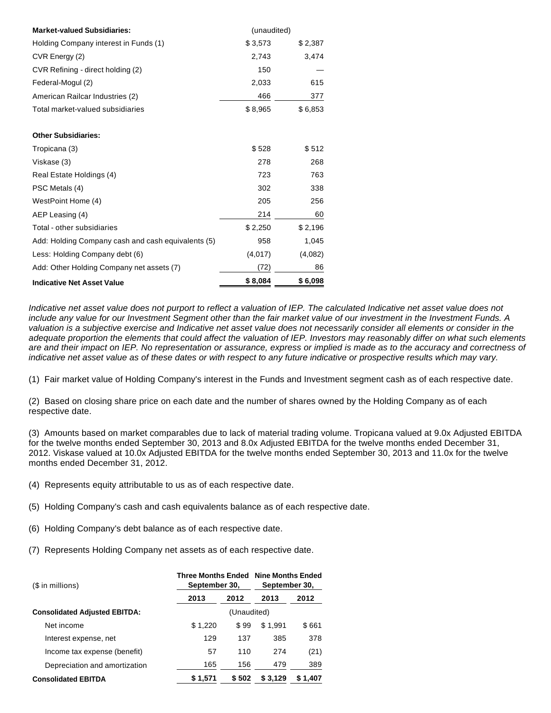| <b>Market-valued Subsidiaries:</b>    | (unaudited) |         |
|---------------------------------------|-------------|---------|
| Holding Company interest in Funds (1) | \$3,573     | \$2,387 |
| CVR Energy (2)                        | 2,743       | 3.474   |
| CVR Refining - direct holding (2)     | 150         |         |
| Federal-Mogul (2)                     | 2,033       | 615     |
| American Railcar Industries (2)       | 466         | 377     |
| Total market-valued subsidiaries      | \$8,965     | \$6,853 |
| <b>Other Subsidiaries:</b>            |             |         |
| Tropicana (3)                         | \$528       | \$512   |
| Viskase (3)                           | 278         | 268     |
| Real Estate Holdings (4)              | 723         | 763     |

| <b>Indicative Net Asset Value</b>                  | \$8,084 | \$6,098 |
|----------------------------------------------------|---------|---------|
| Add: Other Holding Company net assets (7)          | (72)    | 86      |
| Less: Holding Company debt (6)                     | (4,017) | (4,082) |
| Add: Holding Company cash and cash equivalents (5) | 958     | 1.045   |
| Total - other subsidiaries                         | \$2,250 | \$2,196 |
| AEP Leasing (4)                                    | 214     | 60      |
| WestPoint Home (4)                                 | 205     | 256     |
| PSC Metals (4)                                     | 302     | 338     |

Indicative net asset value does not purport to reflect a valuation of IEP. The calculated Indicative net asset value does not include any value for our Investment Segment other than the fair market value of our investment in the Investment Funds. A valuation is a subjective exercise and Indicative net asset value does not necessarily consider all elements or consider in the adequate proportion the elements that could affect the valuation of IEP. Investors may reasonably differ on what such elements are and their impact on IEP. No representation or assurance, express or implied is made as to the accuracy and correctness of indicative net asset value as of these dates or with respect to any future indicative or prospective results which may vary.

(1) Fair market value of Holding Company's interest in the Funds and Investment segment cash as of each respective date.

(2) Based on closing share price on each date and the number of shares owned by the Holding Company as of each respective date.

(3) Amounts based on market comparables due to lack of material trading volume. Tropicana valued at 9.0x Adjusted EBITDA for the twelve months ended September 30, 2013 and 8.0x Adjusted EBITDA for the twelve months ended December 31, 2012. Viskase valued at 10.0x Adjusted EBITDA for the twelve months ended September 30, 2013 and 11.0x for the twelve months ended December 31, 2012.

- (4) Represents equity attributable to us as of each respective date.
- (5) Holding Company's cash and cash equivalents balance as of each respective date.
- (6) Holding Company's debt balance as of each respective date.

(7) Represents Holding Company net assets as of each respective date.

| (\$ in millions)                     | September 30, |             | Three Months Ended Nine Months Ended<br>September 30, |         |  |
|--------------------------------------|---------------|-------------|-------------------------------------------------------|---------|--|
|                                      | 2013          | 2012        | 2013                                                  | 2012    |  |
| <b>Consolidated Adjusted EBITDA:</b> |               | (Unaudited) |                                                       |         |  |
| Net income                           | \$1,220       | \$99        | \$1.991                                               | \$661   |  |
| Interest expense, net                | 129           | 137         | 385                                                   | 378     |  |
| Income tax expense (benefit)         | 57            | 110         | 274                                                   | (21)    |  |
| Depreciation and amortization        | 165           | 156         | 479                                                   | 389     |  |
| <b>Consolidated EBITDA</b>           | \$1.571       | \$502       | \$ 3.129                                              | \$1,407 |  |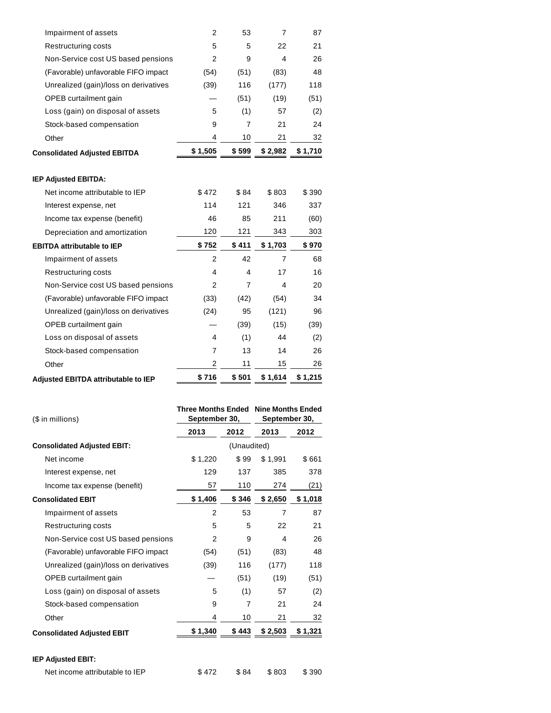| Impairment of assets                  | 2              | 53             | $\overline{7}$ | 87      |
|---------------------------------------|----------------|----------------|----------------|---------|
| Restructuring costs                   | 5              | 5              | 22             | 21      |
| Non-Service cost US based pensions    | $\overline{2}$ | 9              | 4              | 26      |
| (Favorable) unfavorable FIFO impact   | (54)           | (51)           | (83)           | 48      |
| Unrealized (gain)/loss on derivatives | (39)           | 116            | (177)          | 118     |
| OPEB curtailment gain                 |                | (51)           | (19)           | (51)    |
| Loss (gain) on disposal of assets     | 5              | (1)            | 57             | (2)     |
| Stock-based compensation              | 9              | $\overline{7}$ | 21             | 24      |
| Other                                 | 4              | 10             | 21             | 32      |
| <b>Consolidated Adjusted EBITDA</b>   | \$1,505        | \$599          | \$2,982        | \$1,710 |
|                                       |                |                |                |         |
| <b>IEP Adjusted EBITDA:</b>           |                |                |                |         |
| Net income attributable to IEP        | \$472          | \$84           | \$803          | \$390   |
| Interest expense, net                 | 114            | 121            | 346            | 337     |
| Income tax expense (benefit)          | 46             | 85             | 211            | (60)    |
| Depreciation and amortization         | 120            | 121            | 343            | 303     |
| <b>EBITDA attributable to IEP</b>     | \$752          | \$411          | \$1,703        | \$970   |
| Impairment of assets                  | $\overline{2}$ | 42             | $\overline{7}$ | 68      |
| Restructuring costs                   | 4              | 4              | 17             | 16      |
| Non-Service cost US based pensions    | $\overline{2}$ | $\overline{7}$ | 4              | 20      |
| (Favorable) unfavorable FIFO impact   | (33)           | (42)           | (54)           | 34      |
| Unrealized (gain)/loss on derivatives | (24)           | 95             | (121)          | 96      |
| OPEB curtailment gain                 |                | (39)           | (15)           | (39)    |
| Loss on disposal of assets            | 4              | (1)            | 44             | (2)     |
| Stock-based compensation              | 7              | 13             | 14             | 26      |
| Other                                 | 2              | 11             | 15             | 26      |
| Adjusted EBITDA attributable to IEP   | \$716          | \$501          | \$1,614        | \$1,215 |

| (\$ in millions)                      | September 30, |             | Three Months Ended Nine Months Ended<br>September 30, |         |  |
|---------------------------------------|---------------|-------------|-------------------------------------------------------|---------|--|
|                                       | 2013          | 2012        | 2013                                                  | 2012    |  |
| <b>Consolidated Adjusted EBIT:</b>    |               | (Unaudited) |                                                       |         |  |
| Net income                            | \$1,220       | \$99        | \$1,991                                               | \$661   |  |
| Interest expense, net                 | 129           | 137         | 385                                                   | 378     |  |
| Income tax expense (benefit)          | 57            | 110         | 274                                                   | (21)    |  |
| <b>Consolidated EBIT</b>              | \$1,406       | \$ 346      | \$2,650                                               | \$1,018 |  |
| Impairment of assets                  | 2             | 53          | 7                                                     | 87      |  |
| Restructuring costs                   | 5             | 5           | 22                                                    | 21      |  |
| Non-Service cost US based pensions    | $\mathcal{P}$ | 9           | 4                                                     | 26      |  |
| (Favorable) unfavorable FIFO impact   | (54)          | (51)        | (83)                                                  | 48      |  |
| Unrealized (gain)/loss on derivatives | (39)          | 116         | (177)                                                 | 118     |  |
| OPEB curtailment gain                 |               | (51)        | (19)                                                  | (51)    |  |
| Loss (gain) on disposal of assets     | 5             | (1)         | 57                                                    | (2)     |  |
| Stock-based compensation              | 9             | 7           | 21                                                    | 24      |  |
| Other                                 | 4             | 10          | 21                                                    | 32      |  |
| <b>Consolidated Adjusted EBIT</b>     | \$1,340       | \$443       | \$2,503                                               | \$1,321 |  |

# **IEP Adjusted EBIT:**

| Net income attributable to IEP | \$472 | \$84 | \$803 | \$390 |
|--------------------------------|-------|------|-------|-------|
|                                |       |      |       |       |